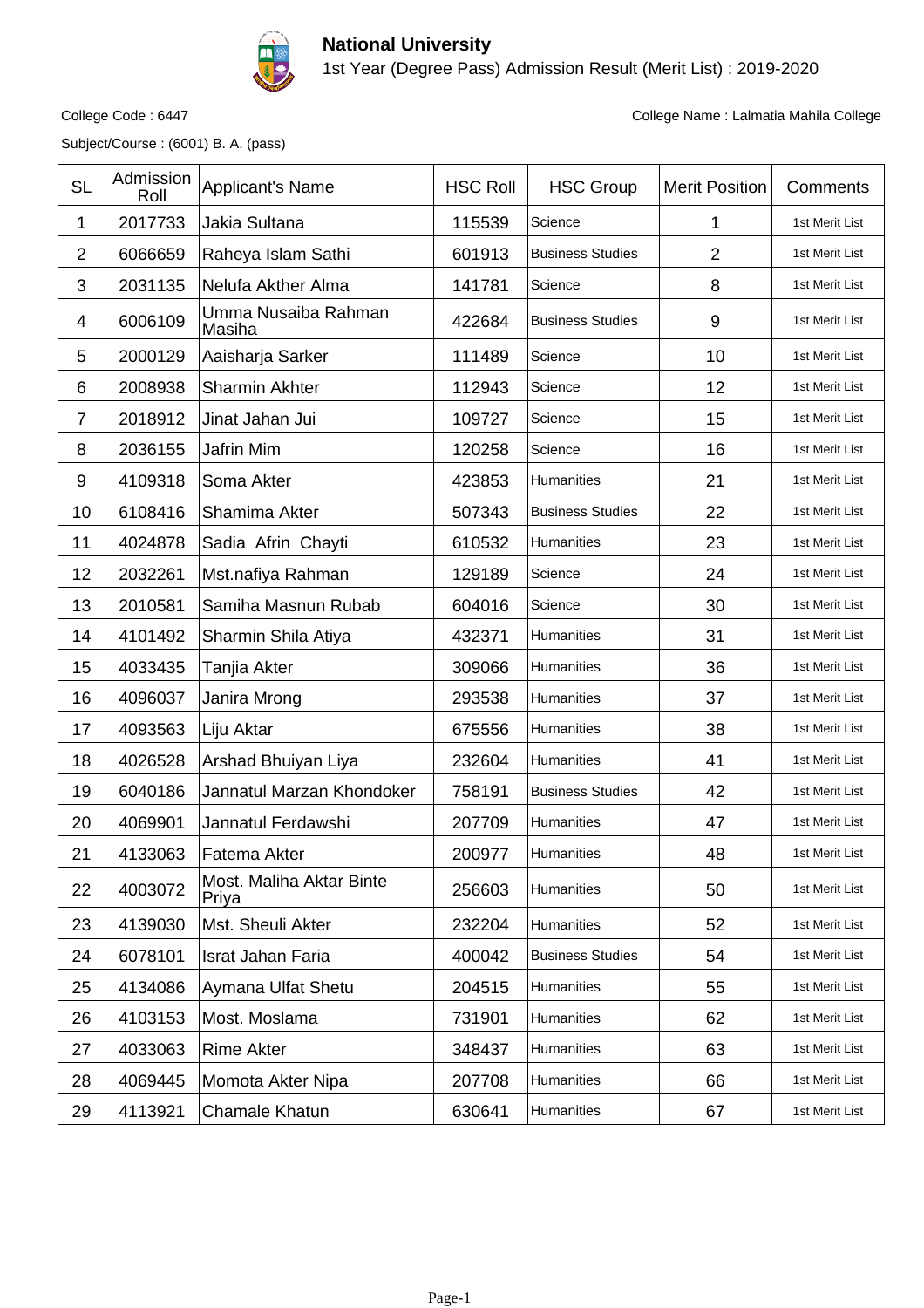

## **National University** 1st Year (Degree Pass) Admission Result (Merit List) : 2019-2020

Subject/Course : (6001) B. A. (pass)

College Code : 6447 College Name : Lalmatia Mahila College

| <b>SL</b>      | Admission<br>Roll | Applicant's Name                  | <b>HSC Roll</b> | <b>HSC Group</b>        | <b>Merit Position</b> | Comments       |
|----------------|-------------------|-----------------------------------|-----------------|-------------------------|-----------------------|----------------|
| 1              | 2017733           | Jakia Sultana                     | 115539          | Science                 | 1                     | 1st Merit List |
| $\overline{2}$ | 6066659           | Raheya Islam Sathi                | 601913          | <b>Business Studies</b> | $\overline{2}$        | 1st Merit List |
| 3              | 2031135           | Nelufa Akther Alma                | 141781          | Science                 | 8                     | 1st Merit List |
| 4              | 6006109           | Umma Nusaiba Rahman<br>Masiha     | 422684          | <b>Business Studies</b> | $\boldsymbol{9}$      | 1st Merit List |
| 5              | 2000129           | Aaisharja Sarker                  | 111489          | Science                 | 10                    | 1st Merit List |
| 6              | 2008938           | Sharmin Akhter                    | 112943          | Science                 | 12                    | 1st Merit List |
| $\overline{7}$ | 2018912           | Jinat Jahan Jui                   | 109727          | Science                 | 15                    | 1st Merit List |
| 8              | 2036155           | Jafrin Mim                        | 120258          | Science                 | 16                    | 1st Merit List |
| 9              | 4109318           | Soma Akter                        | 423853          | Humanities              | 21                    | 1st Merit List |
| 10             | 6108416           | Shamima Akter                     | 507343          | <b>Business Studies</b> | 22                    | 1st Merit List |
| 11             | 4024878           | Sadia Afrin Chayti                | 610532          | <b>Humanities</b>       | 23                    | 1st Merit List |
| 12             | 2032261           | Mst.nafiya Rahman                 | 129189          | Science                 | 24                    | 1st Merit List |
| 13             | 2010581           | Samiha Masnun Rubab               | 604016          | Science                 | 30                    | 1st Merit List |
| 14             | 4101492           | Sharmin Shila Atiya               | 432371          | <b>Humanities</b>       | 31                    | 1st Merit List |
| 15             | 4033435           | Tanjia Akter                      | 309066          | <b>Humanities</b>       | 36                    | 1st Merit List |
| 16             | 4096037           | Janira Mrong                      | 293538          | Humanities              | 37                    | 1st Merit List |
| 17             | 4093563           | Liju Aktar                        | 675556          | <b>Humanities</b>       | 38                    | 1st Merit List |
| 18             | 4026528           | Arshad Bhuiyan Liya               | 232604          | <b>Humanities</b>       | 41                    | 1st Merit List |
| 19             | 6040186           | Jannatul Marzan Khondoker         | 758191          | <b>Business Studies</b> | 42                    | 1st Merit List |
| 20             | 4069901           | Jannatul Ferdawshi                | 207709          | Humanities              | 47                    | 1st Merit List |
| 21             | 4133063           | Fatema Akter                      | 200977          | Humanities              | 48                    | 1st Merit List |
| 22             | 4003072           | Most. Maliha Aktar Binte<br>Priya | 256603          | Humanities              | 50                    | 1st Merit List |
| 23             | 4139030           | Mst. Sheuli Akter                 | 232204          | Humanities              | 52                    | 1st Merit List |
| 24             | 6078101           | Israt Jahan Faria                 | 400042          | <b>Business Studies</b> | 54                    | 1st Merit List |
| 25             | 4134086           | Aymana Ulfat Shetu                | 204515          | Humanities              | 55                    | 1st Merit List |
| 26             | 4103153           | Most. Moslama                     | 731901          | Humanities              | 62                    | 1st Merit List |
| 27             | 4033063           | <b>Rime Akter</b>                 | 348437          | <b>Humanities</b>       | 63                    | 1st Merit List |
| 28             | 4069445           | Momota Akter Nipa                 | 207708          | Humanities              | 66                    | 1st Merit List |
| 29             | 4113921           | Chamale Khatun                    | 630641          | Humanities              | 67                    | 1st Merit List |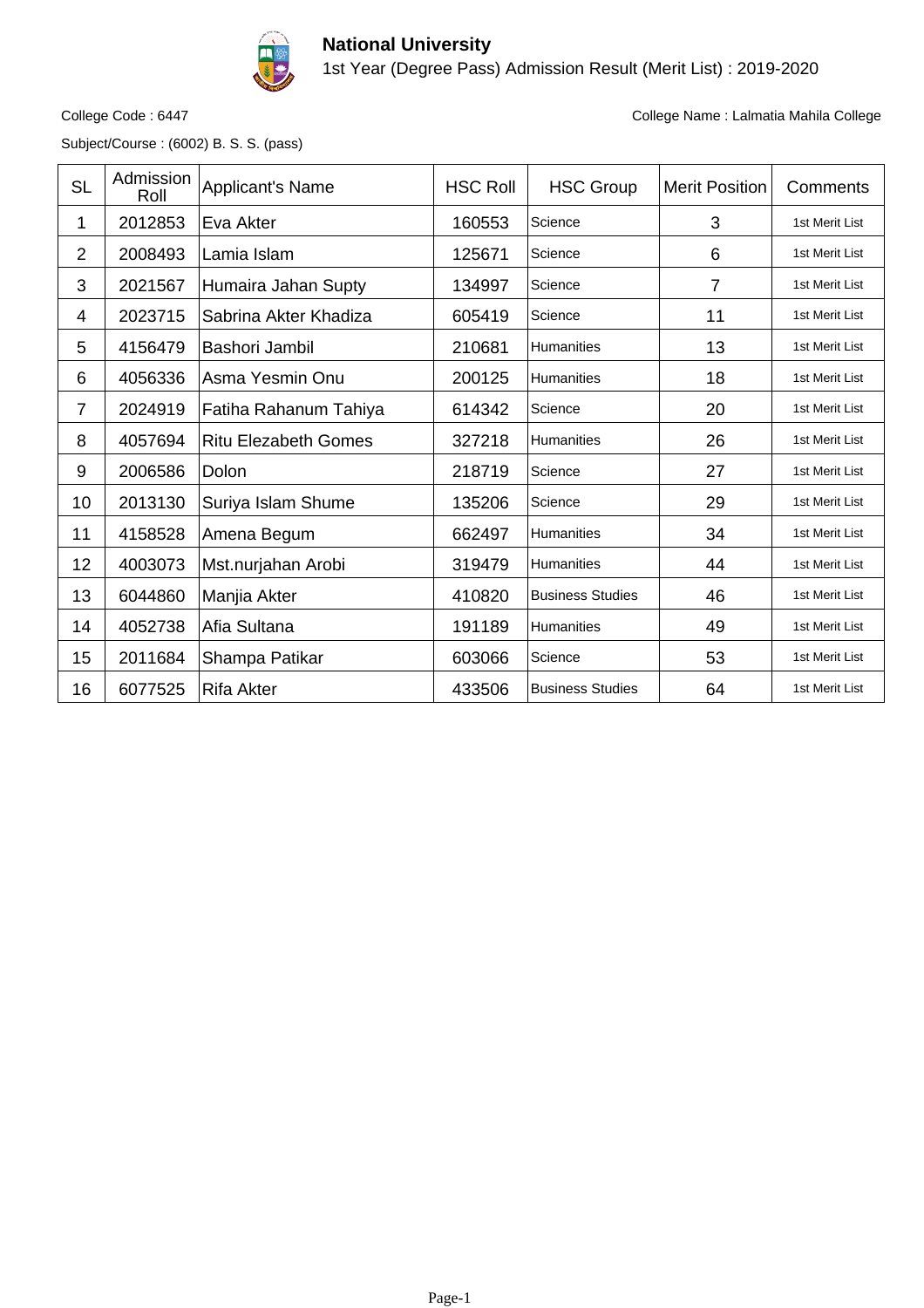

## **National University** 1st Year (Degree Pass) Admission Result (Merit List) : 2019-2020

Subject/Course : (6002) B. S. S. (pass)

College Code : 6447 College Name : Lalmatia Mahila College

| <b>SL</b>      | Admission<br>Roll | <b>Applicant's Name</b>     | <b>HSC Roll</b> | <b>HSC Group</b>        | <b>Merit Position</b> | Comments       |
|----------------|-------------------|-----------------------------|-----------------|-------------------------|-----------------------|----------------|
| 1              | 2012853           | Eva Akter                   | 160553          | Science                 | 3                     | 1st Merit List |
| $\overline{2}$ | 2008493           | Lamia Islam                 | 125671          | Science                 | 6                     | 1st Merit List |
| 3              | 2021567           | Humaira Jahan Supty         | 134997          | Science                 | 7                     | 1st Merit List |
| 4              | 2023715           | Sabrina Akter Khadiza       | 605419          | Science                 | 11                    | 1st Merit List |
| 5              | 4156479           | Bashori Jambil              | 210681          | Humanities              | 13                    | 1st Merit List |
| 6              | 4056336           | Asma Yesmin Onu             | 200125          | <b>Humanities</b>       | 18                    | 1st Merit List |
| 7              | 2024919           | Fatiha Rahanum Tahiya       | 614342          | Science                 | 20                    | 1st Merit List |
| 8              | 4057694           | <b>Ritu Elezabeth Gomes</b> | 327218          | <b>Humanities</b>       | 26                    | 1st Merit List |
| 9              | 2006586           | Dolon                       | 218719          | Science                 | 27                    | 1st Merit List |
| 10             | 2013130           | Suriya Islam Shume          | 135206          | Science                 | 29                    | 1st Merit List |
| 11             | 4158528           | Amena Begum                 | 662497          | <b>Humanities</b>       | 34                    | 1st Merit List |
| 12             | 4003073           | Mst.nurjahan Arobi          | 319479          | <b>Humanities</b>       | 44                    | 1st Merit List |
| 13             | 6044860           | Manjia Akter                | 410820          | <b>Business Studies</b> | 46                    | 1st Merit List |
| 14             | 4052738           | Afia Sultana                | 191189          | <b>Humanities</b>       | 49                    | 1st Merit List |
| 15             | 2011684           | Shampa Patikar              | 603066          | Science                 | 53                    | 1st Merit List |
| 16             | 6077525           | <b>Rifa Akter</b>           | 433506          | <b>Business Studies</b> | 64                    | 1st Merit List |